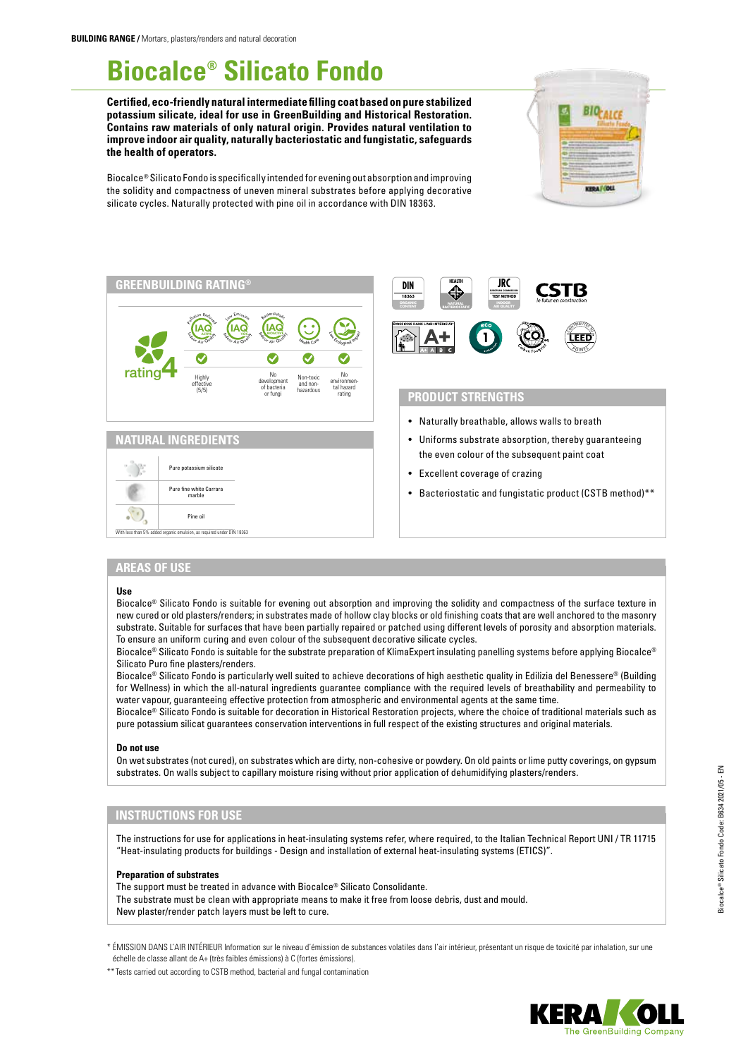# **Biocalce® Silicato Fondo**

**Certified, eco-friendly natural intermediate filling coat based on pure stabilized potassium silicate, ideal for use in GreenBuilding and Historical Restoration. Contains raw materials of only natural origin. Provides natural ventilation to improve indoor air quality, naturally bacteriostatic and fungistatic, safeguards the health of operators.**



Biocalce® Silicato Fondo is specifically intended for evening out absorption and improving the solidity and compactness of uneven mineral substrates before applying decorative silicate cycles. Naturally protected with pine oil in accordance with DIN 18363.







# **PRODUCT STRENGTHS**

- Naturally breathable, allows walls to breath
- Uniforms substrate absorption, thereby guaranteeing the even colour of the subsequent paint coat
- Excellent coverage of crazing
- Bacteriostatic and fungistatic product (CSTB method)\*\*

## **AREAS OF USE**

#### **Use**

Biocalce® Silicato Fondo is suitable for evening out absorption and improving the solidity and compactness of the surface texture in new cured or old plasters/renders; in substrates made of hollow clay blocks or old finishing coats that are well anchored to the masonry substrate. Suitable for surfaces that have been partially repaired or patched using different levels of porosity and absorption materials. To ensure an uniform curing and even colour of the subsequent decorative silicate cycles.

Biocalce® Silicato Fondo is suitable for the substrate preparation of KlimaExpert insulating panelling systems before applying Biocalce® Silicato Puro fine plasters/renders.

Biocalce® Silicato Fondo is particularly well suited to achieve decorations of high aesthetic quality in Edilizia del Benessere® (Building for Wellness) in which the all-natural ingredients guarantee compliance with the required levels of breathability and permeability to water vapour, guaranteeing effective protection from atmospheric and environmental agents at the same time.

Biocalce® Silicato Fondo is suitable for decoration in Historical Restoration projects, where the choice of traditional materials such as pure potassium silicat guarantees conservation interventions in full respect of the existing structures and original materials.

#### **Do not use**

On wet substrates (not cured), on substrates which are dirty, non-cohesive or powdery. On old paints or lime putty coverings, on gypsum substrates. On walls subject to capillary moisture rising without prior application of dehumidifying plasters/renders.

# **INSTRUCTIONS FOR USE**

The instructions for use for applications in heat-insulating systems refer, where required, to the Italian Technical Report UNI / TR 11715 "Heat-insulating products for buildings - Design and installation of external heat-insulating systems (ETICS)".

#### **Preparation of substrates**

The support must be treated in advance with Biocalce® Silicato Consolidante. The substrate must be clean with appropriate means to make it free from loose debris, dust and mould. New plaster/render patch layers must be left to cure.

\* ÉMISSION DANS L'AIR INTÉRIEUR Information sur le niveau d'émission de substances volatiles dans l'air intérieur, présentant un risque de toxicité par inhalation, sur une échelle de classe allant de A+ (très faibles émissions) à C (fortes émissions).

\*\* Tests carried out according to CSTB method, bacterial and fungal contamination

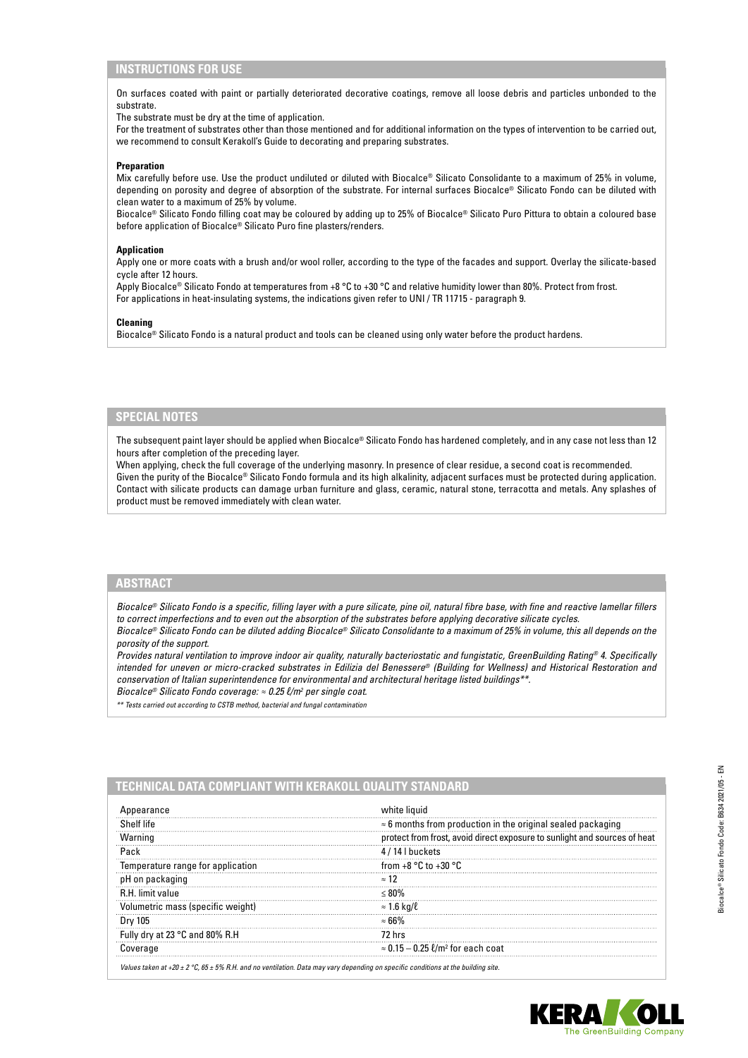# **INSTRUCTIONS FOR USE**

On surfaces coated with paint or partially deteriorated decorative coatings, remove all loose debris and particles unbonded to the substrate.

The substrate must be dry at the time of application.

For the treatment of substrates other than those mentioned and for additional information on the types of intervention to be carried out, we recommend to consult Kerakoll's Guide to decorating and preparing substrates.

#### **Preparation**

Mix carefully before use. Use the product undiluted or diluted with Biocalce® Silicato Consolidante to a maximum of 25% in volume, depending on porosity and degree of absorption of the substrate. For internal surfaces Biocalce® Silicato Fondo can be diluted with clean water to a maximum of 25% by volume.

Biocalce® Silicato Fondo filling coat may be coloured by adding up to 25% of Biocalce® Silicato Puro Pittura to obtain a coloured base before application of Biocalce® Silicato Puro fine plasters/renders.

#### **Application**

Apply one or more coats with a brush and/or wool roller, according to the type of the facades and support. Overlay the silicate-based cycle after 12 hours.

Apply Biocalce® Silicato Fondo at temperatures from +8 °C to +30 °C and relative humidity lower than 80%. Protect from frost. For applications in heat-insulating systems, the indications given refer to UNI / TR 11715 - paragraph 9.

#### **Cleaning**

Biocalce® Silicato Fondo is a natural product and tools can be cleaned using only water before the product hardens.

### **SPECIAL NOTES**

The subsequent paint layer should be applied when Biocalce® Silicato Fondo has hardened completely, and in any case not less than 12 hours after completion of the preceding layer.

When applying, check the full coverage of the underlying masonry. In presence of clear residue, a second coat is recommended. Given the purity of the Biocalce® Silicato Fondo formula and its high alkalinity, adjacent surfaces must be protected during application. Contact with silicate products can damage urban furniture and glass, ceramic, natural stone, terracotta and metals. Any splashes of product must be removed immediately with clean water.

# **ABSTRACT**

*Biocalce® Silicato Fondo is a specific, filling layer with a pure silicate, pine oil, natural fibre base, with fine and reactive lamellar fillers to correct imperfections and to even out the absorption of the substrates before applying decorative silicate cycles.*

*Biocalce® Silicato Fondo can be diluted adding Biocalce® Silicato Consolidante to a maximum of 25% in volume, this all depends on the porosity of the support.*

*Provides natural ventilation to improve indoor air quality, naturally bacteriostatic and fungistatic, GreenBuilding Rating® 4. Specifically intended for uneven or micro-cracked substrates in Edilizia del Benessere® (Building for Wellness) and Historical Restoration and conservation of Italian superintendence for environmental and architectural heritage listed buildings\*\*.*

*Biocalce® Silicato Fondo coverage: ≈ 0.25 l/m<sup>2</sup> per single coat.* 

*\*\* Tests carried out according to CSTB method, bacterial and fungal contamination*

# **TECHNICAL DATA COMPLIANT WITH KERAKOLL QUALITY STANDARD**

| pearance                          | white liquid                                                              |  |
|-----------------------------------|---------------------------------------------------------------------------|--|
| Shelf life                        | $\approx$ 6 months from production in the original sealed packaging       |  |
| Warning                           | protect from frost, avoid direct exposure to sunlight and sources of heat |  |
|                                   | 14 I buckets                                                              |  |
| Temperature range for application | from $+8$ °C to $+30$ °C.                                                 |  |
| on packaging                      | ≈ 12                                                                      |  |
| <b>R.H.</b> limit value           |                                                                           |  |
| Volumetric mass (specific weight) | $\approx 1.6$ kg/ $\ell$                                                  |  |
| Drv 105                           |                                                                           |  |
| 'y dry at 23 °C and 80% R.H       | 72 hrs                                                                    |  |
| ioverage                          | $\approx 0.15-0.25$ $\ell/m^2$ for each coat                              |  |

*Values taken at +20 ± 2 °C, 65 ± 5% R.H. and no ventilation. Data may vary depending on specific conditions at the building site.*